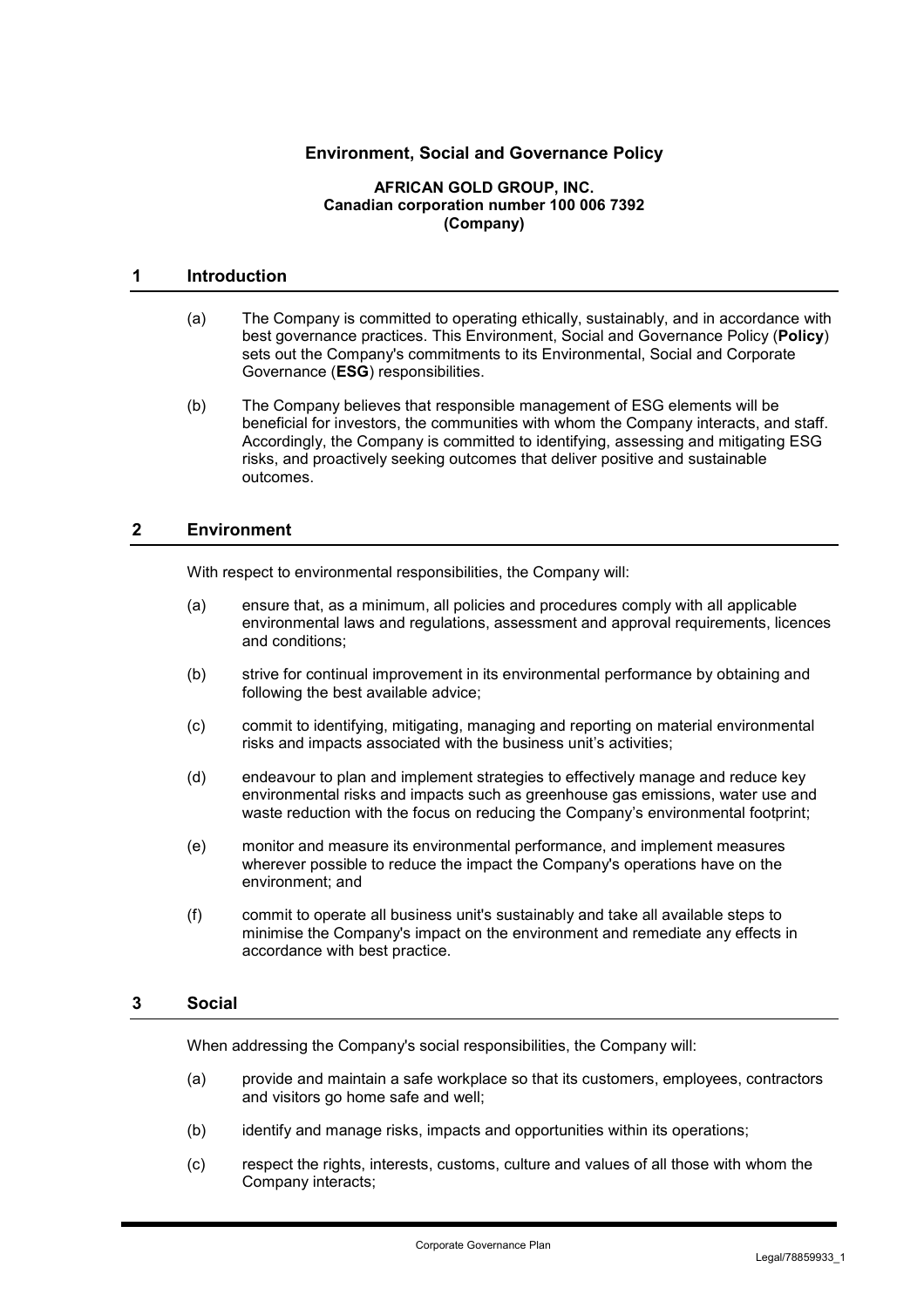# **Environment, Social and Governance Policy**

#### **AFRICAN GOLD GROUP, INC. Canadian corporation number 100 006 7392 (Company)**

### **1 Introduction**

- (a) The Company is committed to operating ethically, sustainably, and in accordance with best governance practices. This Environment, Social and Governance Policy (**Policy**) sets out the Company's commitments to its Environmental, Social and Corporate Governance (**ESG**) responsibilities.
- (b) The Company believes that responsible management of ESG elements will be beneficial for investors, the communities with whom the Company interacts, and staff. Accordingly, the Company is committed to identifying, assessing and mitigating ESG risks, and proactively seeking outcomes that deliver positive and sustainable outcomes.

### **2 Environment**

With respect to environmental responsibilities, the Company will:

- (a) ensure that, as a minimum, all policies and procedures comply with all applicable environmental laws and regulations, assessment and approval requirements, licences and conditions;
- (b) strive for continual improvement in its environmental performance by obtaining and following the best available advice;
- (c) commit to identifying, mitigating, managing and reporting on material environmental risks and impacts associated with the business unit's activities;
- (d) endeavour to plan and implement strategies to effectively manage and reduce key environmental risks and impacts such as greenhouse gas emissions, water use and waste reduction with the focus on reducing the Company's environmental footprint;
- (e) monitor and measure its environmental performance, and implement measures wherever possible to reduce the impact the Company's operations have on the environment; and
- (f) commit to operate all business unit's sustainably and take all available steps to minimise the Company's impact on the environment and remediate any effects in accordance with best practice.

## **3 Social**

When addressing the Company's social responsibilities, the Company will:

- (a) provide and maintain a safe workplace so that its customers, employees, contractors and visitors go home safe and well;
- (b) identify and manage risks, impacts and opportunities within its operations;
- (c) respect the rights, interests, customs, culture and values of all those with whom the Company interacts;